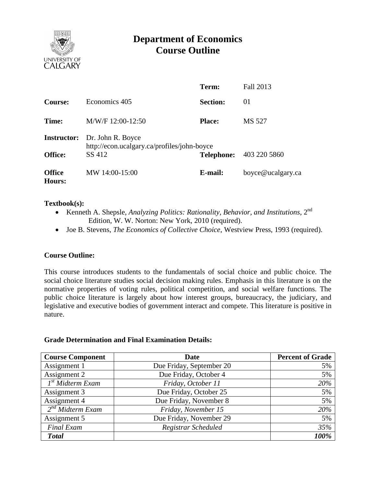

# **Department of Economics Course Outline**

|                                |                                                                  | Term:             | Fall 2013         |  |  |
|--------------------------------|------------------------------------------------------------------|-------------------|-------------------|--|--|
| <b>Course:</b>                 | Economics 405                                                    | <b>Section:</b>   | 01                |  |  |
| Time:                          | M/W/F 12:00-12:50                                                | <b>Place:</b>     | MS 527            |  |  |
| <b>Instructor:</b>             | Dr. John R. Boyce<br>http://econ.ucalgary.ca/profiles/john-boyce |                   |                   |  |  |
| <b>Office:</b>                 | SS 412                                                           | <b>Telephone:</b> | 403 220 5860      |  |  |
| <b>Office</b><br><b>Hours:</b> | MW 14:00-15:00                                                   | E-mail:           | boyce@ucalgary.ca |  |  |

## **Textbook(s):**

- Kenneth A. Shepsle, *Analyzing Politics: Rationality, Behavior, and Institutions*, 2nd Edition, W. W. Norton: New York, 2010 (required).
- Joe B. Stevens, *The Economics of Collective Choice*, Westview Press, 1993 (required).

## **Course Outline:**

This course introduces students to the fundamentals of social choice and public choice. The social choice literature studies social decision making rules. Emphasis in this literature is on the normative properties of voting rules, political competition, and social welfare functions. The public choice literature is largely about how interest groups, bureaucracy, the judiciary, and legislative and executive bodies of government interact and compete. This literature is positive in nature.

#### **Grade Determination and Final Examination Details:**

| <b>Course Component</b>      | <b>Date</b>              | <b>Percent of Grade</b> |  |
|------------------------------|--------------------------|-------------------------|--|
| Assignment 1                 | Due Friday, September 20 | 5%                      |  |
| Assignment 2                 | Due Friday, October 4    | 5%                      |  |
| I <sup>st</sup> Midterm Exam | Friday, October 11       | 20%                     |  |
| Assignment 3                 | Due Friday, October 25   | 5%                      |  |
| Assignment 4                 | Due Friday, November 8   | 5%                      |  |
| $2^{nd}$ Midterm Exam        | Friday, November 15      | 20%                     |  |
| Assignment 5                 | Due Friday, November 29  | 5%                      |  |
| <b>Final Exam</b>            | Registrar Scheduled      | 35%                     |  |
| <b>Total</b>                 |                          | 100%                    |  |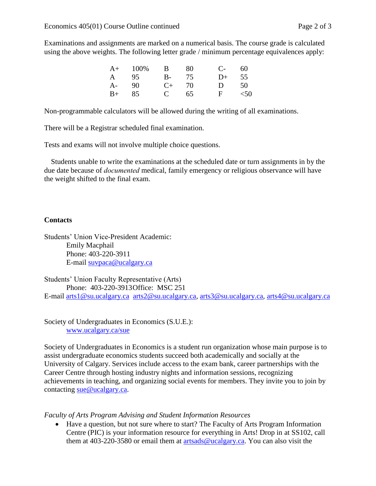Examinations and assignments are marked on a numerical basis. The course grade is calculated using the above weights. The following letter grade / minimum percentage equivalences apply:

|      | $A+$ 100%  | $\overline{B}$ | 80 | $C_{\tau}$ 60 |    |
|------|------------|----------------|----|---------------|----|
|      | A 95 B- 75 |                |    | $D+$          | 55 |
| A-   | - 90       | $C_{+}$ 70     |    | D             | 50 |
| $B+$ | 85         | $C = 65$       |    | F $<$ 50      |    |

Non-programmable calculators will be allowed during the writing of all examinations.

There will be a Registrar scheduled final examination.

Tests and exams will not involve multiple choice questions.

Students unable to write the examinations at the scheduled date or turn assignments in by the due date because of *documented* medical, family emergency or religious observance will have the weight shifted to the final exam.

# **Contacts**

Students' Union Vice-President Academic: Emily Macphail Phone: 403-220-3911 E-mail [suvpaca@ucalgary.ca](mailto:subpaca@ucalgary.ca)

Students' Union Faculty Representative (Arts) Phone: 403-220-3913Office: MSC 251 E-mail [arts1@su.ucalgary.ca](mailto:arts1@su.ucalgary.ca) [arts2@su.ucalgary.ca,](mailto:arts2@su.ucalgary.ca) [arts3@su.ucalgary.ca,](mailto:arts3@su.ucalgary.ca) [arts4@su.ucalgary.ca](mailto:arts4@su.ucalgary.ca)

Society of Undergraduates in Economics (S.U.E.): [www.ucalgary.ca/sue](http://www.fp.ucalgary.ca/econ)

Society of Undergraduates in Economics is a student run organization whose main purpose is to assist undergraduate economics students succeed both academically and socially at the University of Calgary. Services include access to the exam bank, career partnerships with the Career Centre through hosting industry nights and information sessions, recognizing achievements in teaching, and organizing social events for members. They invite you to join by contacting [sue@ucalgary.ca.](mailto:sue@ucalgary.ca)

*Faculty of Arts Program Advising and Student Information Resources*

 Have a question, but not sure where to start? The Faculty of Arts Program Information Centre (PIC) is your information resource for everything in Arts! Drop in at SS102, call them at 403-220-3580 or email them at  $artsads@ucalgary.ca.$  You can also visit the